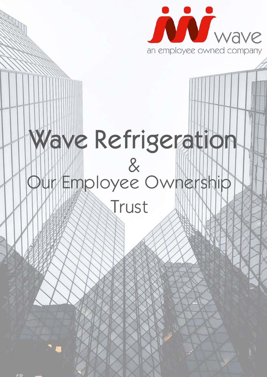

## awe Refrigeration & Our Employee Ownership

Trust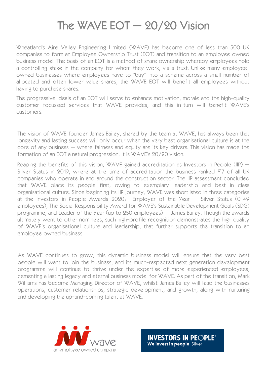## The WAVE EOT  $-$  20/20 Vision

Wheatland's Aire Valley Engineering Limited (WAVE) has become one of less than 500 UK companies to form an Employee Ownership Trust (EOT) and transition to an employee owned business model. The basis of an EOT is a method of share ownership whereby employees hold a controlling stake in the company for whom they work, via a trust. Unlike many employeeowned businesses where employees have to "buy" into a scheme across a small number of allocated and often lower value shares, the WAVE EOT will benefit all employees without having to purchase shares.

The progressive ideals of an EOT will serve to enhance motivation, morale and the high-quality customer focussed services that WAVE provides, and this in-turn will benefit WAVE's customers.

The vision of WAVE founder James Bailey, shared by the team at WAVE, has always been that longevity and lasting success will only occur when the very best organisational culture is at the core of any business – where fairness and equity are its key drivers. This vision has made the formation of an EOT a natural progression, it is WAVE's 20/20 vision.

Reaping the benefits of this vision, WAVE gained accreditation as Investors in People (IIP) – Silver Status in 2019, where at the time of accreditation the business ranked  $#7$  of all UK companies who operate in and around the construction sector. The IIP assessment concluded that WAVE place its people first, owing to exemplary leadership and best in class organisational culture. Since beginning its IIP journey, WAVE was shortlisted in three categories at the Investors in People Awards 2020; Employer of the Year – Silver Status (0-49 employees), The Social Responsibility Award for WAVE's Sustainable Development Goals (SDG) programme, and Leader of the Year (up to 250 employees) – James Bailey. Though the awards ultimately went to other nominees, such high-profile recognition demonstrates the high quality of WAVE's organisational culture and leadership, that further supports the transition to an employee owned business.

As WAVE continues to grow, this dynamic business model will ensure that the very best people will want to join the business, and its much-respected next generation development programme will continue to thrive under the expertise of more experienced employees; cementing a lasting legacy and eternal business model for WAVE. As part of the transition, Mark Williams has become Managing Director of WAVE, whilst James Bailey will lead the businesses operations, customer relationships, strategic development, and growth, along with nurturing and developing the up-and-coming talent at WAVE.



**INVESTORS IN PEOPLE®** We invest in people Silver